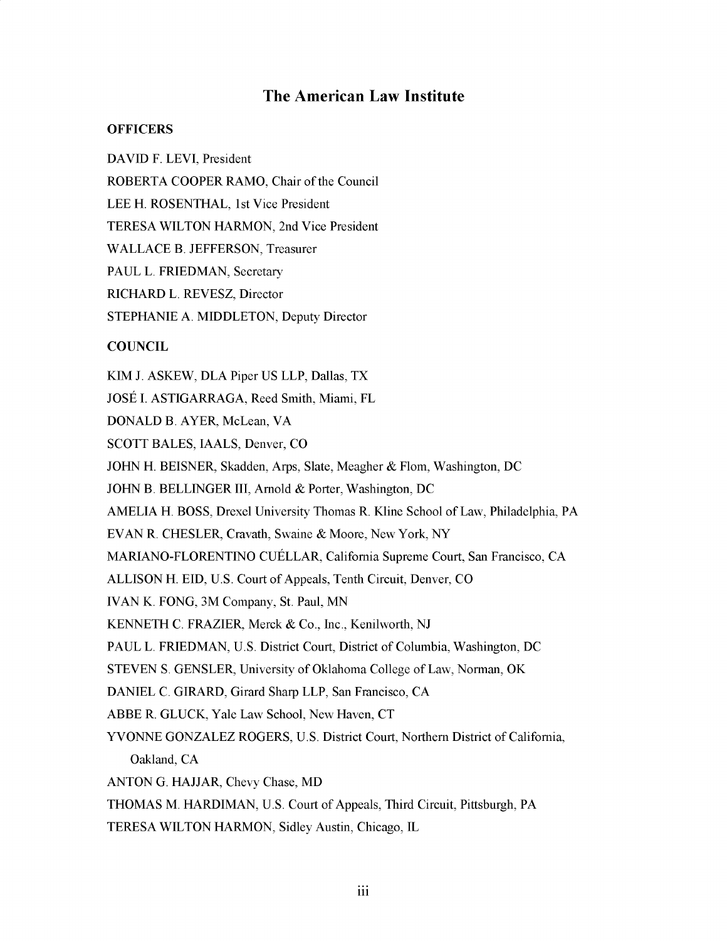# **The American Law Institute**

## **OFFICERS**

**DAVID F. LEVI,** President

ROBERTA COOPER RAMO, Chair of the Council

**LEE** H. **ROSENTHAL,** 1st Vice President

TERESA WILTON HARMON, 2nd Vice President

**WALLACE** B. **JEFFERSON,** Treasurer

**PAUL** L. FRIEDMAN, Secretary

RICHARD L. REVESZ, Director

**STEPHANIE A. MIDDLETON,** Deputy Director

# **COUNCIL**

KIM **J.** ASKEW, **DLA** Piper **US** LLP, Dallas, TX JOSE **I.** ASTIGARRAGA, Reed Smith, Miami, FL **DONALD** B. AYER, McLean, VA **SCOTT BALES, IAALS,** Denver, **CO JOHN** H. **BEISNER,** Skadden, Arps, Slate, Meagher **&** Flom, Washington, **DC JOHN** B. BELLINGER III, Arnold **&** Porter, Washington, **DC AMELIA** H. **BOSS,** Drexel University Thomas R. Kline School of Law, Philadelphia, PA **EVAN** R. CHESLER, Cravath, Swaine **&** Moore, New York, NY MARIANO-FLORENTINO CUELLAR, California Supreme Court, San Francisco, **CA ALLISON** H. **EID, U.S.** Court of Appeals, Tenth Circuit, Denver, **CO IVAN** K. **FONG,** 3M Company, St. Paul, **MN KENNETH C.** FRAZIER, Merck **&** Co., Inc., Kenilworth, **NJ PAUL** L. FRIEDMAN, **U.S.** District Court, District of Columbia, Washington, **DC STEVEN S. GENSLER,** University of Oklahoma College of Law, Norman, OK **DANIEL C.** GIRARD, Girard Sharp LLP, San Francisco, **CA** ABBE R. **GLUCK,** Yale Law School, New Haven, **CT YVONNE GONZALEZ** ROGERS, **U.S.** District Court, Northern District of California, Oakland, **CA ANTON G. HAJJAR,** Chevy Chase, MD **THOMAS** M. HARDIMAN, **U.S.** Court of Appeals, Third Circuit, Pittsburgh, PA

TERESA WILTON HARMON, Sidley Austin, Chicago, IL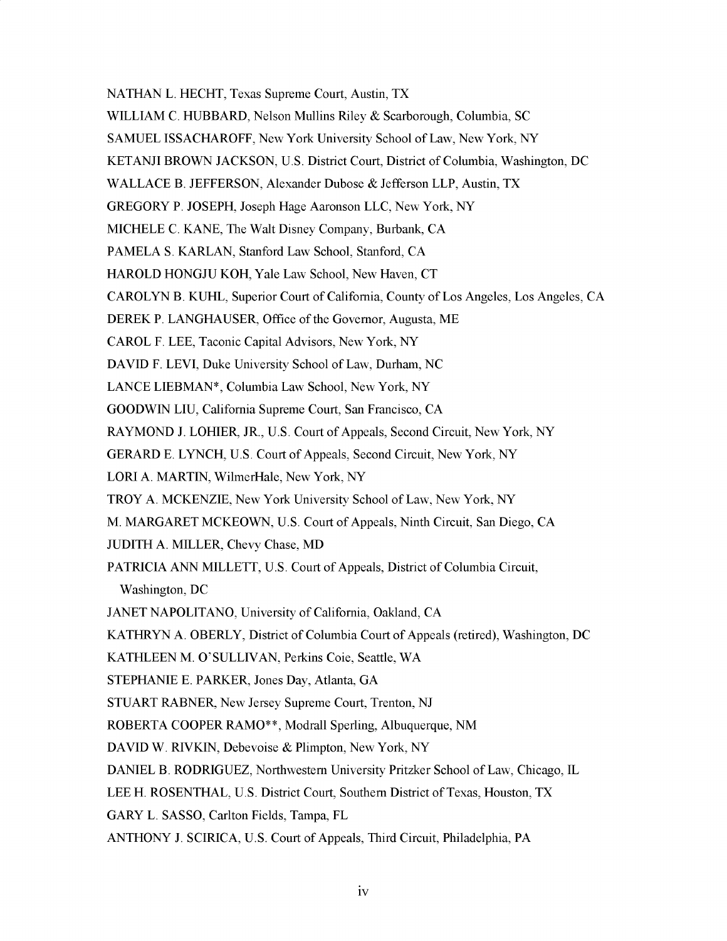**NATHAN** L. **HECHT,** Texas Supreme Court, Austin, TX WILLIAM **C.** HUBBARD, Nelson Mullins Riley **&** Scarborough, Columbia, **SC SAMUEL ISSACHAROFF,** New York University School of Law, New York, NY **KETANJI** BROWN **JACKSON, U.S.** District Court, District of Columbia, Washington, **DC**

**WALLACE** B. **JEFFERSON,** Alexander Dubose **&** Jefferson LLP, Austin, TX

GREGORY P. **JOSEPH,** Joseph Hage Aaronson **LLC,** New York, NY

**MICHELE C. KANE,** The Walt Disney Company, Burbank, **CA**

**PAMELA S.** KARLAN, Stanford Law School, Stanford, **CA**

HAROLD **HONGJU** KOH, Yale Law School, New Haven, **CT**

CAROLYN B. **KUHL,** Superior Court of California, County of Los Angeles, Los Angeles, **CA**

DEREK P. **LANGHAUSER,** Office of the Governor, Augusta, ME

CAROL F. **LEE,** Taconic Capital Advisors, New York, NY

**DAVID** F. LEVI, Duke University School of Law, Durham, **NC**

**LANCE LIEBMAN\*,** Columbia Law School, New York, NY

**GOODWIN LIU,** California Supreme Court, San Francisco, **CA**

RAYMOND **J.** LOHIER, JR., **U.S.** Court of Appeals, Second Circuit, New York, NY

GERARD **E. LYNCH, U.S.** Court of Appeals, Second Circuit, New York, NY

LORI **A.** MARTIN, WilmerHale, New York, NY

TROY **A.** MCKENZIE, New York University School of Law, New York, **NY**

- M. MARGARET MCKEOWN, **U.S.** Court of Appeals, Ninth Circuit, San Diego, **CA**
- **JUDITH A.** MILLER, Chevy Chase, MD

PATRICIA **ANN** MILLETT, **U.S.** Court of Appeals, District of Columbia Circuit, Washington, **DC**

**JANET NAPOLITANO,** University of California, Oakland, **CA**

KATHRYN **A.** OBERLY, District of Columbia Court of Appeals (retired), Washington, **DC**

**KATHLEEN** M. **O'SULLIVAN,** Perkins Coie, Seattle, WA

**STEPHANIE E.** PARKER, Jones Day, Atlanta, **GA**

**STUART** RABNER, New Jersey Supreme Court, Trenton, **NJ**

ROBERTA COOPER RAMO\*\*, Modrall Sperling, Albuquerque, **NM**

**DAVID** W. RIVKIN, Debevoise **&** Plimpton, New York, NY

**DANIEL** B. RODRIGUEZ, Northwestern University Pritzker School of Law, Chicago, IL

**LEE** H. **ROSENTHAL, U.S.** District Court, Southern District of Texas, Houston, TX

GARY L. **SASSO,** Carlton Fields, Tampa, FL

**ANTHONY J. SCIRICA, U.S.** Court of Appeals, Third Circuit, Philadelphia, PA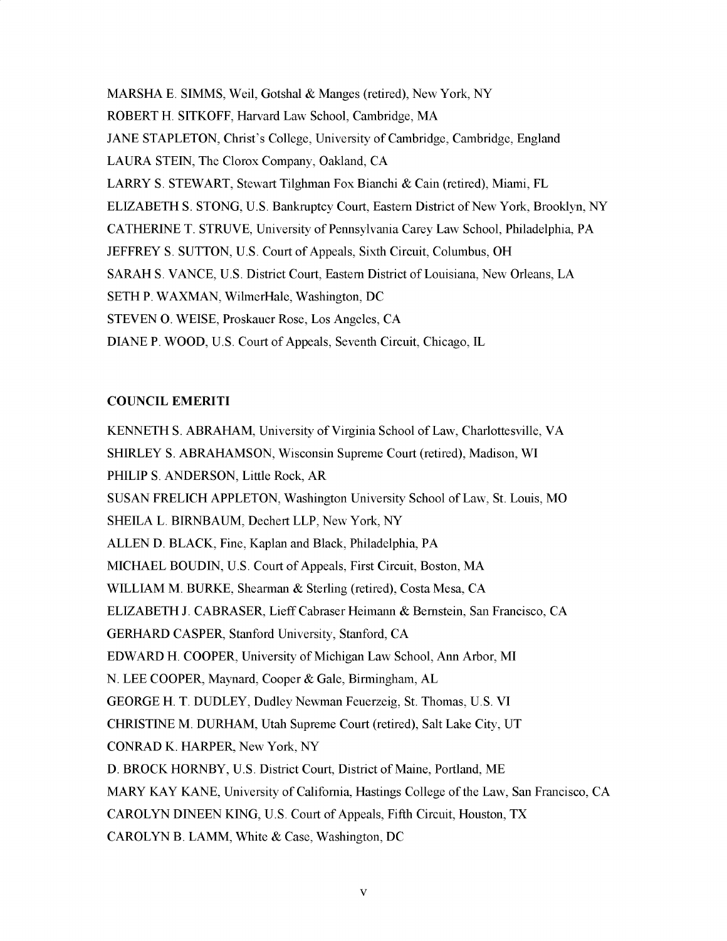MARSHA **E. SIMMS,** Weil, Gotshal **&** Manges (retired), New York, NY ROBERT H. SITKOFF, Harvard Law School, Cambridge, MA **JANE STAPLETON,** Christ's College, University of Cambridge, Cambridge, England **LAURA STEIN,** The Clorox Company, Oakland, **CA** LARRY **S.** STEWART, Stewart Tilghman Fox Bianchi **&** Cain (retired), Miami, FL ELIZABETH **S. STONG, U.S.** Bankruptcy Court, Eastern District of New York, Brooklyn, NY **CATHERINE** T. **STRUVE,** University of Pennsylvania Carey Law School, Philadelphia, PA JEFFREY **S. SUTTON, U.S.** Court of Appeals, Sixth Circuit, Columbus, OH SARAH **S. VANCE, U.S.** District Court, Eastern District of Louisiana, New Orleans, **LA SETH** P. WAXMAN, WilmerHale, Washington, **DC STEVEN 0. WEISE,** Proskauer Rose, Los Angeles, **CA DIANE** P. WOOD, **U.S.** Court of Appeals, Seventh Circuit, Chicago, IL

### **COUNCIL** EMERITI

**KENNETH S.** ABRAHAM, University of Virginia School of Law, Charlottesville, VA SHIRLEY **S.** ABRAHAMSON, Wisconsin Supreme Court (retired), Madison, WI PHILIP **S. ANDERSON,** Little Rock, AR **SUSAN** FRELICH **APPLETON,** Washington University School of Law, St. Louis, MO **SHEILA** L. BIRNBAUM, Dechert LLP, New York, NY **ALLEN D.** BLACK, Fine, Kaplan and Black, Philadelphia, PA **MICHAEL BOUDIN, U.S.** Court of Appeals, First Circuit, Boston, MA WILLIAM M. BURKE, Shearman **&** Sterling (retired), Costa Mesa, **CA** ELIZABETH **J.** CABRASER, Lieff Cabraser Heimann **&** Bernstein, San Francisco, **CA** GERHARD CASPER, Stanford University, Stanford, **CA** EDWARD H. COOPER, University of Michigan Law School, Ann Arbor, MI **N. LEE** COOPER, Maynard, Cooper **&** Gale, Birmingham, **AL GEORGE** H. T. **DUDLEY,** Dudley Newman Feuerzeig, St. Thomas, **U.S.** VI **CHRISTINE** M. DURHAM, Utah Supreme Court (retired), Salt Lake City, **UT CONRAD** K. HARPER, New York, NY **D.** BROCK HORNBY, **U.S.** District Court, District of Maine, Portland, ME MARY KAY **KANE,** University of California, Hastings College of the Law, San Francisco, **CA** CAROLYN **DINEEN KING, U.S.** Court of Appeals, Fifth Circuit, Houston, TX CAROLYN B. LAMM, White **&** Case, Washington, **DC**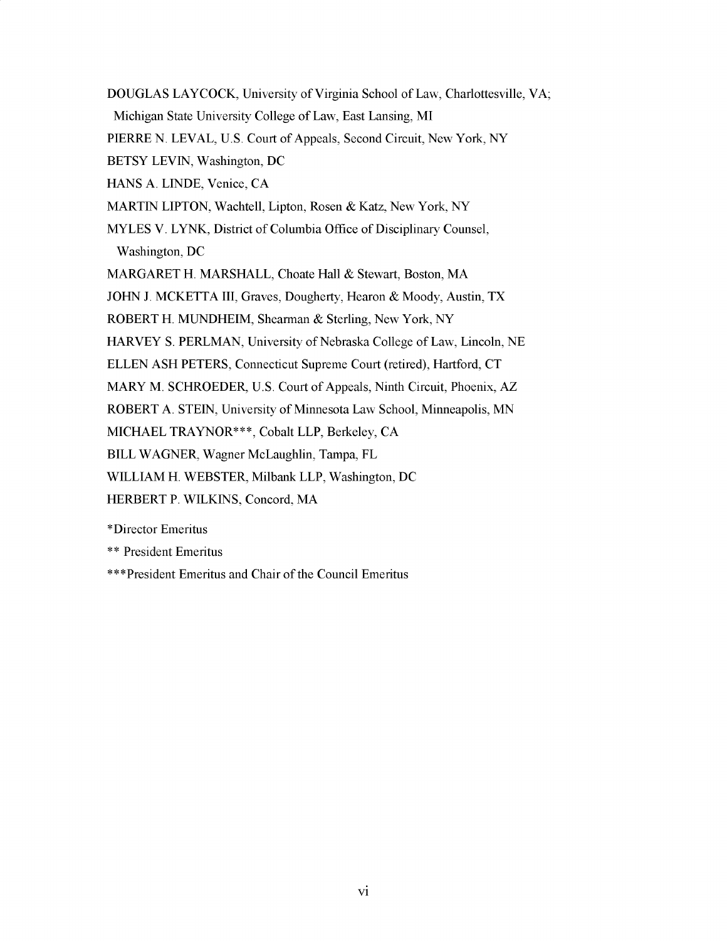**DOUGLAS** LAYCOCK, University of Virginia School of Law, Charlottesville, VA; Michigan State University College of Law, East Lansing, MI PIERRE **N.** LEVAL, **U.S.** Court of Appeals, Second Circuit, New York, NY BETSY **LEVIN,** Washington, **DC HANS A. LINDE,** Venice, **CA** MARTIN **LIPTON,** Wachtell, Lipton, Rosen **&** Katz, New York, NY MYLES V. LYNK, District of Columbia Office of Disciplinary Counsel, Washington, **DC** MARGARET H. MARSHALL, Choate Hall **&** Stewart, Boston, MA **JOHN J.** MCKETTA III, Graves, Dougherty, Hearon **&** Moody, Austin, TX ROBERT H. MUNDHEIM, Shearman **&** Sterling, New York, NY HARVEY **S.** PERLMAN, University of Nebraska College of Law, Lincoln, **NE ELLEN ASH** PETERS, Connecticut Supreme Court (retired), Hartford, **CT** MARY M. SCHROEDER, **U.S.** Court of Appeals, Ninth Circuit, Phoenix, AZ ROBERT **A. STEIN,** University of Minnesota Law School, Minneapolis, **MN MICHAEL** TRAYNOR\*\*\*, Cobalt LLP, Berkeley, **CA** BILL WAGNER, Wagner McLaughlin, Tampa, FL WILLIAM H. WEBSTER, Milbank LLP, Washington, **DC** HERBERT P. WILKINS, Concord, MA \*Director Emeritus **\* \*** President Emeritus

\*\*\*President Emeritus and Chair of the Council Emeritus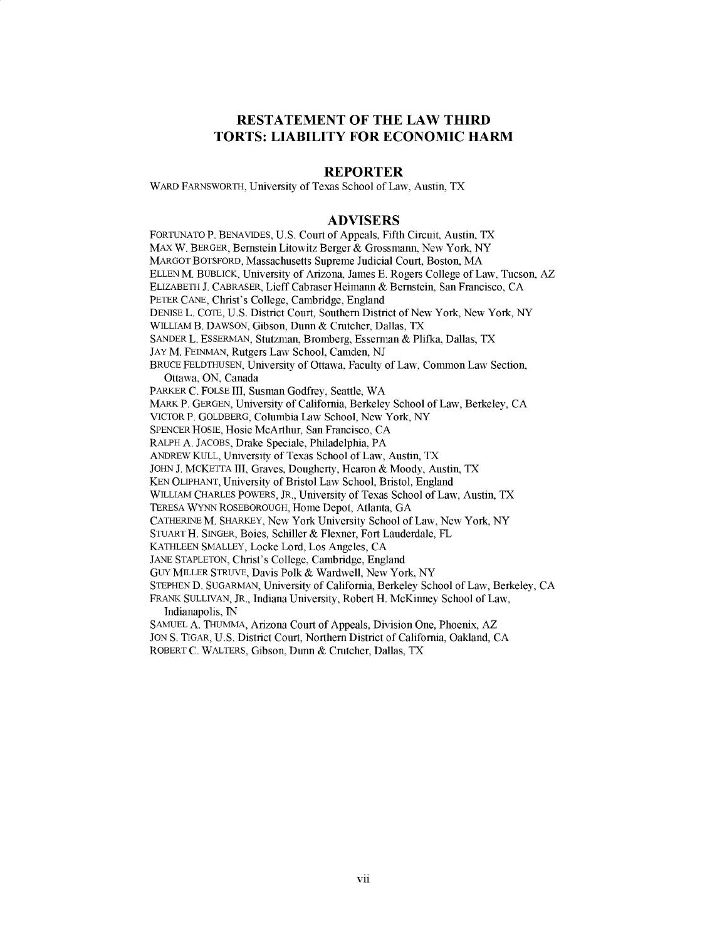# **RESTATEMENT OF THE LAW THIRD TORTS: LIABILITY FOR ECONOMIC HARM**

### **REPORTER**

WARD FARNSWORTH, University of Texas School of Law, Austin, TX

#### **ADVISERS**

**FORTUNATO** P. **BENAVIDES, U.S.** Court of Appeals, Fifth Circuit, Austin, TX *MAX* W. BERGER, Bernstein Litowitz Berger **&** Grossmann, New York, NY MARGOT BOTSFORD, Massachusetts Supreme Judicial Court, Boston, MA **ELLEN** M. BUBLICK, University of Arizona, James **E.** Rogers College of Law, Tucson, AZ ELIZABETH **J.** CABRASER, Lieff Cabraser Heimann **&** Bernstein, San Francisco, **CA** PETER **CANE,** Christ's College, Cambridge, England **DENISE** L. **COTE, U.S.** District Court, Southern District of New York, New York, NY WILLIAM B. **DAWSON,** Gibson, Dunn **&** Crutcher, Dallas, TX **SANDER** L. **ESSERMAN,** Stutzman, Bromberg, Esserman **&** Plifka, Dallas, TX **JAY** M. **FEINMAN,** Rutgers Law School, Camden, **NJ** BRUCE **FELDTHUSEN,** University of Ottawa, Faculty of Law, Common Law Section, Ottawa, **ON,** Canada PARKER **C. FOLSE** III, Susman Godfrey, Seattle, WA MARK P. **GERGEN,** University of California, Berkeley School of Law, Berkeley, **CA** VICTOR P. GOLDBERG, Columbia Law School, New York, NY **SPENCER HOSIE,** Hosie McArthur, San Francisco, **CA** RALPH **A. JACOBS,** Drake Speciale, Philadelphia, PA **ANDREW KULL,** University of Texas School of Law, Austin, TX **JOHN J.** MCKETTA III, Graves, Dougherty, Hearon **&** Moody, Austin, TX **KEN OLIPHANT,** University of Bristol Law School, Bristol, England WILLIAM **CHARLES** POWERS, JR., University of Texas School of Law, Austin, TX TERESA WYNN ROSEBOROUGH, Home Depot, Atlanta, **GA CATHERINE** M. SHARKEY, New York University School of Law, New York, NY **STUART** H. **SINGER,** Boies, Schiller **&** Flexner, Fort Lauderdale, FL **KATHLEEN** SMALLEY, Locke Lord, Los Angeles, **CA JANE STAPLETON,** Christ's College, Cambridge, England GUY MILLER STRUVE, Davis Polk **&** Wardwell, New York, NY **STEPHEN D. SUGARMAN,** University of California, Berkeley School of Law, Berkeley, **CA** FRANK **SULLIVAN,** JR., Indiana University, Robert H. McKinney School of Law, Indianapolis, **IN SAMUEL A. THUMMA,** Arizona Court of Appeals, Division One, Phoenix, AZ **JON S.** TIGAR, **U.S.** District Court, Northern District of California, Oakland, **CA**

ROBERT **C.** WALTERS, Gibson, Dunn **&** Crutcher, Dallas, TX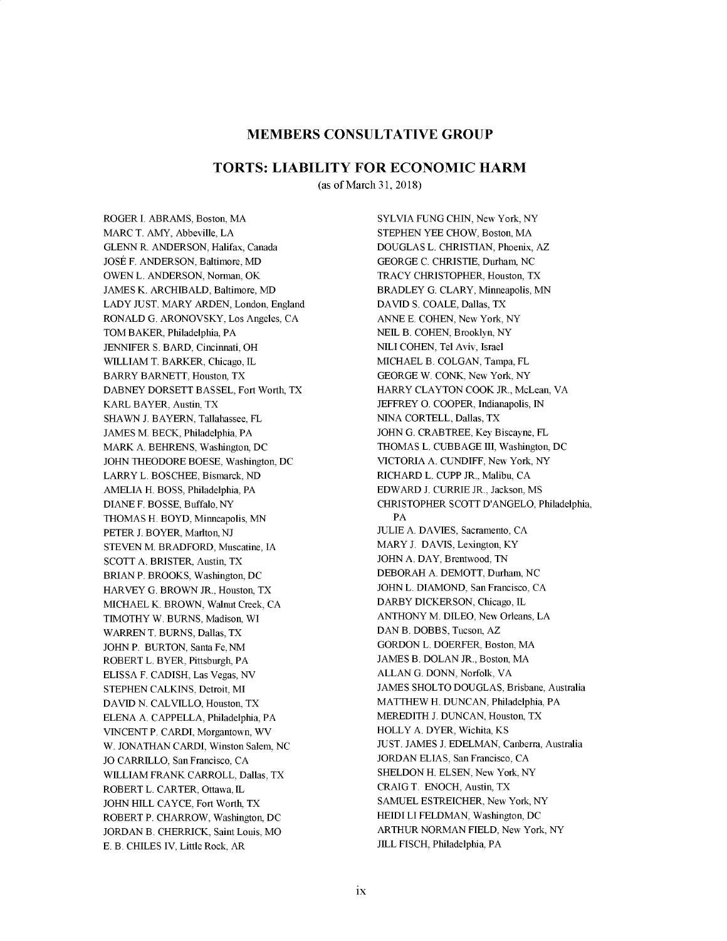### **MEMBERS CONSULTATIVE GROUP**

#### **TORTS: LIABILITY FOR ECONOMIC HARM**

(as of March **31, 2018)**

ROGER **I.** ABRAMS, Boston, MA MARC T. AMY, Abbeville, **LA GLENN** R. **ANDERSON,** Halifax, Canada JOSE F. **ANDERSON,** Baltimore, MD **OWEN** L. **ANDERSON,** Norman, OK **JAMES** K. ARCHBALD, Baltimore, MD LADY **JUST.** MARY **ARDEN,** London, England RONALD **G.** ARONOVSKY, Los Angeles, **CA** TOM BAKER, Philadelphia, PA **JENNIFER S.** BARD, Cincinnati, OH WILLIAM T. BARKER, Chicago, IL BARRY BARNETT, Houston, TX **DABNEY** DORSETT **BASSEL,** Fort Worth, TX KARL BAYER, Austin, TX **SHAWN J.** BAYERN, Tallahassee, FL **JAMES** M. BECK, Philadelphia, PA MARK **A.** BEHRENS, Washington, **DC** JOHN THEODORE **BOESE,** Washington, **DC** LARRY L. **BOSCHEE,** Bismarck, **ND AMELIA** H. **BOSS,** Philadelphia, PA **DIANE** F. **BOSSE,** Buffalo, NY **THOMAS** H. BOYD, Minneapolis, **MN** PETER **J.** BOYER, Marlton, **NJ STEVEN** M. BRADFORD, Muscatine, **IA SCOTT A.** BRISTER, Austin, TX BRIAN P. BROOKS, Washington, **DC** HARVEY **G.** BROWN JR., Houston, TX **MICHAEL** K. BROWN, Walnut Creek, **CA** TIMOTHY W. **BURNS,** Madison, WI WARRENT. **BURNS,** Dallas, TX JOHN P. BURTON, Santa Fe, **NM** ROBERT L. BYER, Pittsburgh, PA **ELISSA** F. **CADISH,** Las Vegas, **NV STEPHEN CALKINS,** Detroit, MI DAVID N. CALVILLO, Houston, TX **ELENA A. CAPPELLA,** Philadelphia, PA **VINCENT** P. CARDI, Morgantown, WV W. **JONATHAN** CARDI, Winston Salem, **NC JO** CARRILO, San Francisco, **CA** WLLIAM FRANK CARROLL, Dallas, TX ROBERT L. CARTER, Ottawa, **L** JOHN HILL **CAYCE,** Fort Worth, TX ROBERT P. CHARROW, Washington, **DC JORDAN** B. CHERRICK, Saint Louis, MO **E.** B. **CHILES** IV, Little Rock, AR

SYLVIA **FUNG CHIN,** New York, NY **STEPHEN** YEE CHOW, Boston, MA **DOUGLAS** L. **CHRISTIAN,** Phoenix, AZ **GEORGE C.** CHRISTIE, Durham, **NC** TRACY CHRISTOPHER, Houston, TX BRADLEY **G.** CLARY, Minneapolis, **MN DAVID S. COALE,** Dallas, TX **ANNE E. COHEN,** New York, NY **NEL** B. **COHEN,** Brooklyn, NY **NILI COHEN,** Tel Aviv, Israel **MICHAEL** B. **COLGAN,** Tampa, FL **GEORGE** W. **CONK,** New York, NY HARRY **CLAYTON** COOK JR., McLean, VA JEFFREY **0.** COOPER, Indianapolis, **IN NINA** CORTELL, Dallas, TX **JOHN G.** CRABTREE, **Key** Biscayne, FL **THOMAS** L. **CUBBAGE** III, Washington, **DC** VICTORIA **A. CUNDIFF,** New York, NY RICHARD L. **CUPP** JR., Malibu, **CA** EDWARD **J.** CURRIE JR., Jackson, MS CHRISTOPHER **SCOTT D'ANGELO,** Philadelphia, PA **JULIE A. DAVIES,** Sacramento, **CA** MARY **J. DAVIS,** Lexington, KY JOHN **A.** DAY, Brentwood, **TN** DEBORAH **A.** DEMOTT, Durham, **NC JOHN** L. **DIAMOND,** San Francisco, **CA** DARBY DICKERSON, Chicago, IL **ANTHONY** M. **DILEO,** New Orleans, **LA DAN** B. DOBBS, Tucson, AZ GORDON L. DOERFER, Boston, MA **JAMES** B. **DOLAN** JR., Boston, MA **ALLAN G. DONN,** Norfolk, VA **JAMES SHOLTO DOUGLAS,** Brisbane, Australia MATTHEW H. **DUNCAN,** Philadelphia, PA MEREDITH **J. DUNCAN,** Houston, TX HOLLY **A.** DYER, Wichita, KS **JUST. JAMES J. EDELMAN,** Canberra, Australia **JORDAN ELIAS,** San Francisco, **CA SHELDON** H. **ELSEN,** New York, NY CRAIG T. **ENOCH,** Austin, TX **SAMUEL** ESTREICHER, New York, NY **HEIDI** LI **FELDMAN,** Washington, **DC** ARTHUR **NORMAN FIELD,** New York, NY **JLL FISCH,** Philadelphia, PA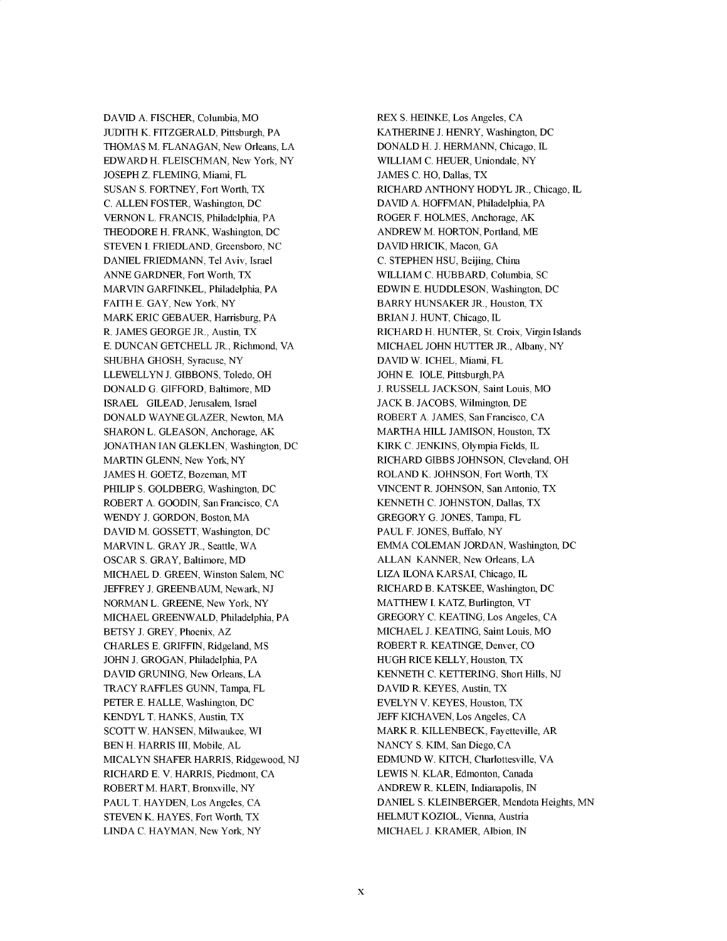**DAVID A.** FISCHER, Columbia, MO **JUDITH** K. FITZGERALD, Pittsburgh, PA **THOMAS** M. **FLANAGAN,** New Orleans, **LA** EDWARD H. **FLEISCHMAN,** New York, NY **JOSEPH** Z. **FLEMING,** Miami, FL **SUSAN S.** FORTNEY, Fort Worth, TX **C. ALLEN** FOSTER, Washington, **DC VERNON** L. **FRANCIS,** Philadelphia, PA THEODORE H. FRANK, Washington, **DC STEVEN I.** FRIEDLAND, Greensboro, **NC DANIEL FRIEDMANN,** Tel Aviv, Israel **ANNE** GARDNER, Fort Worth, TX MARVIN GARFINKEL, Philadelphia, PA FAITH **E.** GAY, New York, NY MARK ERIC **GEBAUER,** Harrisburg, PA R. **JAMES GEORGE** JR., Austin, TX **E. DUNCAN GETCHELL** JR., Richmond, VA **SHUBHA GHOSH,** Syracuse, NY LLEWELLYN **J. GIBBONS,** Toledo, OH **DONALD G.** GIFFORD, Baltimore, MD ISRAEL **GILEAD,** Jerusalem, Israel **DONALD** WAYNE GLAZER, Newton, MA **SHARON** L. **GLEASON,** Anchorage, AK **JONATHAN IAN GLEKLEN,** Washington, **DC** MARTIN **GLENN,** New York, NY **JAMES** H. GOETZ, Bozeman, MT PHILIP **S.** GOLDBERG, Washington, **DC** ROBERT **A. GOODIN,** San Francisco, **CA** WENDY **J.** GORDON, Boston, MA **DAVID** M. **GOSSETT,** Washington, **DC** MARVIN L. GRAY JR., Seattle, WA OSCAR **S.** GRAY, Baltimore, MD **MICHAEL D. GREEN,** Winston Salem, **NC** JEFFREY **J. GREENBAUM,** Newark, **NJ NORMAN** L. **GREENE,** New York, NY **MICHAEL** GREENWALD, Philadelphia, PA BETSY **J.** GREY, Phoenix, AZ CHARLES **E.** GRIFFIN, Ridgeland, MS JOHN **J. GROGAN,** Philadelphia, PA **DAVID GRUNING,** New Orleans, **LA** TRACY RAFFLES **GUNN,** Tampa, FL PETER **E. HALLE,** Washington, **DC** KENDYL T. **HANKS,** Austin, TX **SCOTT** W. **HANSEN,** Milwaukee, WI **BEN** H. HARRIS III, Mobile, **AL MICALYN** SHAFER HARRIS, Ridgewood, **NJ** RICHARD **E.** V. HARRIS, Piedmont, **CA** ROBERT M. HART, Bronxville, NY **PAUL** T. **HAYDEN,** Los Angeles, **CA STEVEN** K. **HAYES,** Fort Worth, TX **LINDA C. HAYMAN,** New York, NY

REX **S.** HEINKE, Los Angeles, **CA** KATHERINE **J.** HENRY, Washington, **DC DONALD** H. **J. HERMANN,** Chicago, **L** WILLIAM **C. HEUER,** Uniondale, NY **JAMES C.** HO, Dallas, TX RICHARD **ANTHONY** HODYL JR., Chicago, **L DAVID A. HOFFMAN,** Philadelphia, PA ROGER F. **HOLMES,** Anchorage, AK ANDREW M. HORTON, Portland, ME **DAVID** HRICIK, Macon, **GA C. STEPHEN HSU,** Beijing, China WLLIAM **C.** HUBBARD, Columbia, **SC EDWIN E. HUDDLESON,** Washington, **DC** BARRY HUNSAKER JR., Houston, TX BRIAN **J. HUNT,** Chicago, IL RICHARD H. **HUNTER,** St. Croix, Virgin Islands **MICHAEL JOHN** HUTTER JR., Albany, NY **DAVID** W. **ICHEL,** Miami, FL JOHN **E. IOLE,** Pittsburgh, PA **J. RUSSELL JACKSON,** Saint Louis, MO **JACK** B. **JACOBS,** Wilmington, **DE** ROBERT **A. JAMES,** San Francisco, **CA** MARTHA HILL **JAMISON,** Houston, TX KIRK **C. JENKINS,** Olympia Fields, **L** RICHARD GIBBS **JOHNSON,** Cleveland, OH ROLAND K. **JOHNSON,** Fort Worth, TX **VINCENT** R. **JOHNSON,** San Antonio, TX **KENNETH C. JOHNSTON,** Dallas, TX GREGORY **G. JONES,** Tampa, FL **PAUL** F. **JONES,** Buffalo, NY EMMA **COLEMAN JORDAN,** Washington, **DC ALLAN KANNER,** New Orleans, **LA** LIZA **LONA** KARSAI, Chicago, IL RICHARD B. KATSKEE, Washington **DC** MATTHEW **I.** KATZ, Burlington, VT GREGORY **C. KEATING,** Los Angeles, **CA MICHAEL J. KEATING,** Saint Louis, MO ROBERT R. **KEATINGE,** Denver, **CO HUGH** RICE KELLY, Houston TX **KENNETH C.** KETTERING, Short Hills, **NJ DAVID** R. KEYES, Austin, TX **EVELYN** V. KEYES, Houston TX **JEFF KICHAVEN,** Los Angeles, **CA** MARK R. KILLENBECK, Fayetteville, AR **NANCY S.** KIM, San Diego, **CA EDMUND** W. KITCH, Charlottesville, VA LEWIS **N.** KLAR, Edmonton, Canada ANDREW R. **KLEIN,** Indianapolis, **IN DANIEL S.** KLEINBERGER, Mendota Heights, **MN HELMUT** KOZIOL, Vienna, Austria **MICHAEL J.** KRAMER, Albion, **IN**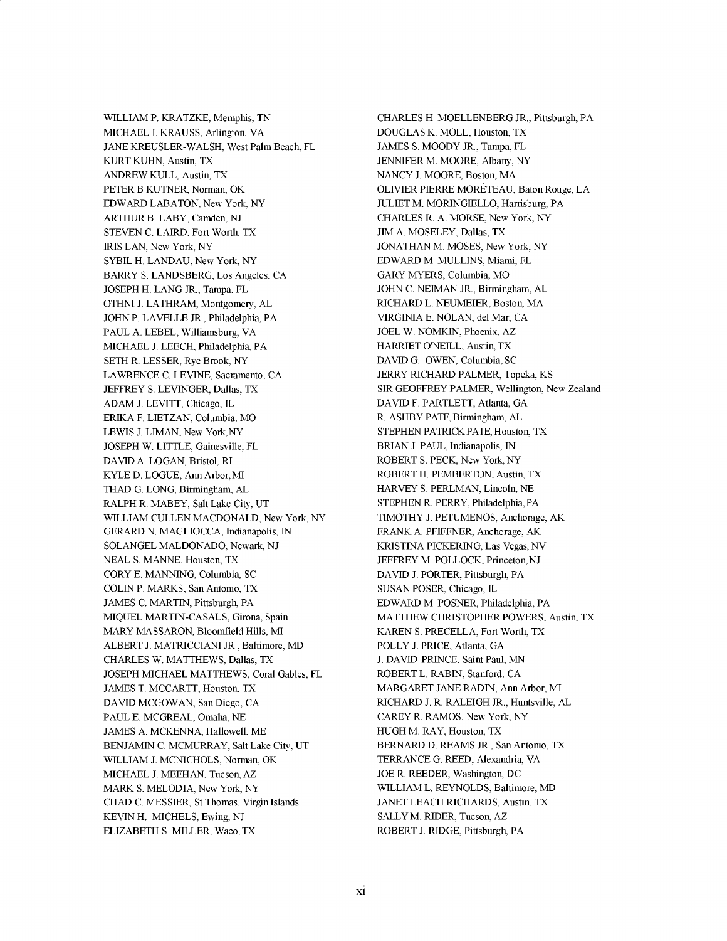WILLIAM P. KRATZKE, Memphis, **TN MICHAEL I. KRAUSS,** Arlington, VA **JANE** KREUSLER-WALSH, West Palm Beach, FL KURT **KUHN,** Austin, TX ANDREW **KULL,** Austin, TX PETER B **KUTNER,** Norman, OK EDWARD **LABATON,** New York, NY ARTHUR B. LABY, Camden, **NJ STEVEN C.** LAIRD, Fort Worth, TX IRIS **LAN,** New York, NY SYBIL H. **LANDAU,** New York, NY BARRY **S. LANDSBERG,** Los Angeles, **CA JOSEPH** H. **LANG** JR., Tampa, FL **OTHNI J.** LATHRAM, Montgomery, **AL JOHN** P. **LAVELLE** JR., Philadelphia, PA PAUL A. LEBEL, Williamsburg, VA **MICHAEL J. LEECH,** Philadelphia, PA **SETH** R. **LESSER,** Rye Brook, NY LAWRENCE **C. LEVINE,** Sacramento, **CA** JEFFREY **S. LEVINGER,** Dallas, TX **ADAM J.** LEVITT, Chicago, **L** ERIKA F. **LIETZAN,** Columbia, MO LEWIS **J. LIMAN,** New York,NY **JOSEPH** W. LITTLE, Gainesville, FL **DAVID A. LOGAN,** Bristol, RI KYLE **D. LOGUE,** Ann Arbor,MI THAD **G. LONG,** Birmingham, **AL** RALPH R. MABEY, Salt Lake City, **UT** WILLIAM **CULLEN MACDONALD,** New York, NY GERARD **N. MAGLIOCCA,** Indianapolis, **IN SOLANGEL MALDONADO,** Newark, **NJ NEAL S. MANNE,** Houston, TX CORY **E. MANNING,** Columbia, **SC COLIN** P. MARKS, San Antonio, TX **JAMES C.** MARTIN, Pittsburgh, PA **MIQUEL MARTIN-CASALS,** Girona, Spain MARY **MASSARON,** Bloomfield Hills, MI ALBERT **J. MATRICCIANI** JR., Baltimore, MD CHARLES W. MATTHEWS, Dallas, TX **JOSEPH MICHAEL** MATTHEWS, Coral Gables, FL **JAMES** T. MCCARTT, Houston, TX **DAVID MCGOWAN,** San Diego, **CA PAUL E.** MCGREAL, Omaha, **NE JAMES A. MCKENNA,** Hallowell, ME **BENJAMIN C.** MCMURRAY, Salt Lake City, **UT** WILLIAM **J. MCNICHOLS,** Norman, OK **MICHAEL J. MEEHAN,** Tucson, AZ MARK **S. MELODIA,** New York, NY **CHAD C. MESSIER,** St Thomas, Virgin Islands KEVIN H. MICHELS, Ewing, NJ ELIZABETH **S.** MILLER, Waco, TX

CHARLES H. MOELLENBERG JR., Pittsburgh, PA **DOUGLAS** K. MOLL, Houston, TX **JAMES S.** MOODY JR., Tampa, FL **JENNIFER** M. MOORE, Albany, NY **NANCY J.** MOORE, Boston, MA OLIVIER PIERRE MORETEAU, Baton Rouge, **LA JULIET** M. MORINGIELLO, Harrisburg, PA CHARLES R. **A.** MORSE, New York, NY **JIM A.** MOSELEY, Dallas, TX **JONATHAN** M. **MOSES,** New York, NY EDWARD M. **MULLINS,** Miami, FL GARY MYERS, Columbia, MO **JOHN C. NEIMAN** JR., Birmingham, **AL** RICHARD L. **NEUMEIER,** Boston, MA VIRGINIA **E. NOLAN, del** Mar, **CA JOEL** W. **NOMKIN,** Phoenix, AZ HARRIET **O'NEILL,** Austin, TX **DAVID G. OWEN,** Columbia, **SC** JERRY RICHARD PALMER, Topeka, KS SIR GEOFFREY PALMER, Wellington, New Zealand **DAVID** F. PARTLETT, Atlanta, **GA** R. ASHBY **PATE,** Birmingham, **AL STEPHEN PATRICK PATE, Houston, TX** BRIAN **J. PAUL,** Indianapolis, **IN** ROBERT **S.** PECK, New York, NY ROBERT H. PEMBERTON, Austin, TX HARVEY **S.** PERLMAN, Lincoln, **NE STEPHEN** R. PERRY, Philadelphia, PA TIMOTHY **J. PETUMENOS,** Anchorage, AK FRANK **A.** PFIFFNER, Anchorage, AK KRISTINA PICKERING, Las Vegas, **NV** JEFFREY M. POLLOCK, Princeton, NJ **DAVID J.** PORTER, Pittsburgh, PA **SUSAN** POSER, Chicago, **L** EDWARD M. POSNER, Philadelphia, PA MATTHEW CHRISTOPHER POWERS, Austin TX KAREN **S.** PRECELLA, Fort Worth, TX POLLY **J.** PRICE, Atlanta, **GA J. DAVID** PRINCE, Saint Paul, **MN** ROBERT L. RABIN, Stanford, **CA** MARGARET **JANE** RADIN, Ann Arbor, MI RICHARD **J.** R. RALEIGH JR., Huntsville, **AL** CAREY R. RAMOS, New York, NY **HUGH** M. RAY, Houston, TX BERNARD **D.** REAMS JR., San Antonio, TX TERRANCE **G.** REED, Alexandria, VA **JOE** R. REEDER, Washington **DC** WILLIAM L. REYNOLDS, Baltimore, MD **JANET LEACH** RICHARDS, Austin, TX SALLY M. RIDER, Tucson, AZ ROBERT **J. RIDGE,** Pittsburgh, PA